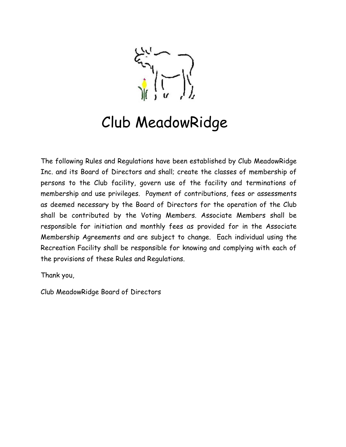# Club MeadowRidge

The following Rules and Regulations have been established by Club MeadowRidge Inc. and its Board of Directors and shall; create the classes of membership of persons to the Club facility, govern use of the facility and terminations of membership and use privileges. Payment of contributions, fees or assessments as deemed necessary by the Board of Directors for the operation of the Club shall be contributed by the Voting Members. Associate Members shall be responsible for initiation and monthly fees as provided for in the Associate Membership Agreements and are subject to change. Each individual using the Recreation Facility shall be responsible for knowing and complying with each of the provisions of these Rules and Regulations.

Thank you,

Club MeadowRidge Board of Directors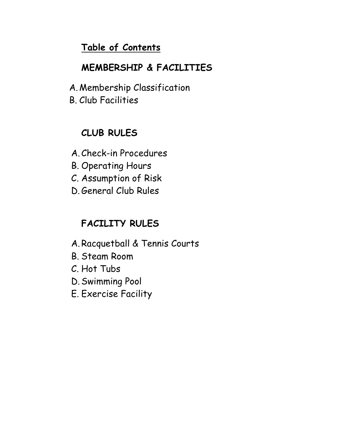# Table of Contents

# MEMBERSHIP & FACILITIES

- A. Membership Classification
- B. Club Facilities

# CLUB RULES

- A.Check-in Procedures
- B. Operating Hours
- C. Assumption of Risk
- D.General Club Rules

# FACILITY RULES

- A.Racquetball & Tennis Courts
- B. Steam Room
- C. Hot Tubs
- D.Swimming Pool
- E. Exercise Facility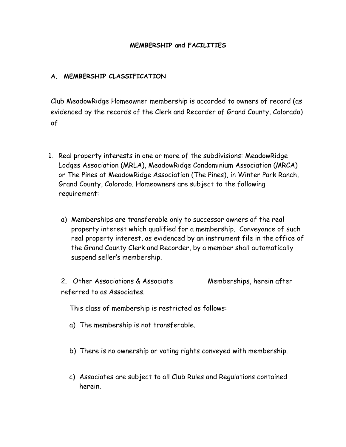## MEMBERSHIP and FACILITIES

## A. MEMBERSHIP CLASSIFICATION

Club MeadowRidge Homeowner membership is accorded to owners of record (as evidenced by the records of the Clerk and Recorder of Grand County, Colorado) of

- 1. Real property interests in one or more of the subdivisions: MeadowRidge Lodges Association (MRLA), MeadowRidge Condominium Association (MRCA) or The Pines at MeadowRidge Association (The Pines), in Winter Park Ranch, Grand County, Colorado. Homeowners are subject to the following requirement:
	- a) Memberships are transferable only to successor owners of the real property interest which qualified for a membership. Conveyance of such real property interest, as evidenced by an instrument file in the office of the Grand County Clerk and Recorder, by a member shall automatically suspend seller's membership.
	- 2. Other Associations & Associate Memberships, herein after referred to as Associates.

This class of membership is restricted as follows:

- a) The membership is not transferable.
- b) There is no ownership or voting rights conveyed with membership.
- c) Associates are subject to all Club Rules and Regulations contained herein.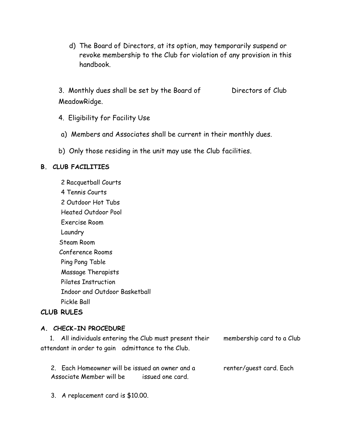d) The Board of Directors, at its option, may temporarily suspend or revoke membership to the Club for violation of any provision in this handbook.

3. Monthly dues shall be set by the Board of Directors of Club MeadowRidge.

- 4. Eligibility for Facility Use
- a) Members and Associates shall be current in their monthly dues.
- b) Only those residing in the unit may use the Club facilities.

#### B. CLUB FACILITIES

2 Racquetball Courts 4 Tennis Courts 2 Outdoor Hot Tubs Heated Outdoor Pool Exercise Room Laundry Steam Room Conference Rooms Ping Pong Table Massage Therapists Pilates Instruction Indoor and Outdoor Basketball Pickle Ball

### CLUB RULES

#### A. CHECK-IN PROCEDURE

 1. All individuals entering the Club must present their membership card to a Club attendant in order to gain admittance to the Club.

2. Each Homeowner will be issued an owner and a renter/guest card. Each Associate Member will be issued one card.

3. A replacement card is \$10.00.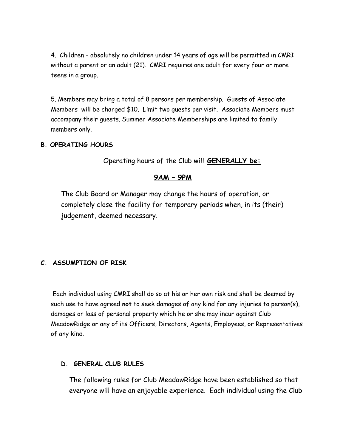4. Children – absolutely no children under 14 years of age will be permitted in CMRI without a parent or an adult (21). CMRI requires one adult for every four or more teens in a group.

5. Members may bring a total of 8 persons per membership. Guests of Associate Members will be charged \$10. Limit two guests per visit. Associate Members must accompany their guests. Summer Associate Memberships are limited to family members only.

### B. OPERATING HOURS

Operating hours of the Club will GENERALLY be:

# 9AM – 9PM

The Club Board or Manager may change the hours of operation, or completely close the facility for temporary periods when, in its (their) judgement, deemed necessary.

# C. ASSUMPTION OF RISK

 Each individual using CMRI shall do so at his or her own risk and shall be deemed by such use to have agreed not to seek damages of any kind for any injuries to person(s), damages or loss of personal property which he or she may incur against Club MeadowRidge or any of its Officers, Directors, Agents, Employees, or Representatives of any kind.

### D. GENERAL CLUB RULES

The following rules for Club MeadowRidge have been established so that everyone will have an enjoyable experience. Each individual using the Club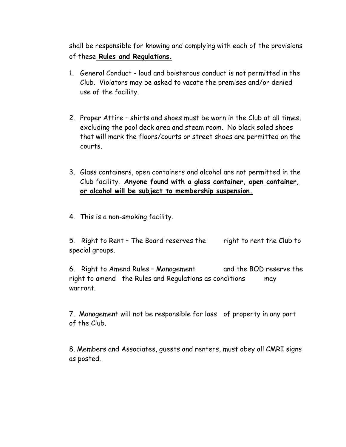shall be responsible for knowing and complying with each of the provisions of these Rules and Regulations.

- 1. General Conduct loud and boisterous conduct is not permitted in the Club. Violators may be asked to vacate the premises and/or denied use of the facility.
- 2. Proper Attire shirts and shoes must be worn in the Club at all times, excluding the pool deck area and steam room. No black soled shoes that will mark the floors/courts or street shoes are permitted on the courts.
- 3. Glass containers, open containers and alcohol are not permitted in the Club facility. Anyone found with a glass container, open container, or alcohol will be subject to membership suspension.
- 4. This is a non-smoking facility.

5. Right to Rent - The Board reserves the right to rent the Club to special groups.

6. Right to Amend Rules – Management and the BOD reserve the right to amend the Rules and Regulations as conditions may warrant.

7. Management will not be responsible for loss of property in any part of the Club.

8. Members and Associates, guests and renters, must obey all CMRI signs as posted.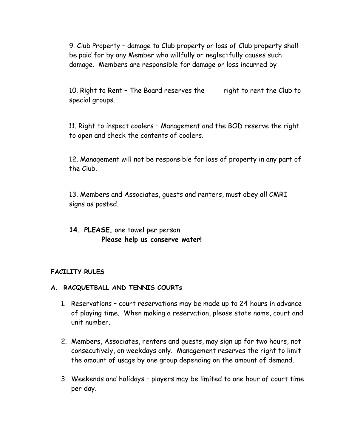9. Club Property – damage to Club property or loss of Club property shall be paid for by any Member who willfully or neglectfully causes such damage. Members are responsible for damage or loss incurred by

10. Right to Rent - The Board reserves the right to rent the Club to special groups.

11. Right to inspect coolers – Management and the BOD reserve the right to open and check the contents of coolers.

12. Management will not be responsible for loss of property in any part of the Club.

13. Members and Associates, guests and renters, must obey all CMRI signs as posted.

# 14. PLEASE, one towel per person. Please help us conserve water!

### FACILITY RULES

- A. RACQUETBALL AND TENNIS COURTs
	- 1. Reservations court reservations may be made up to 24 hours in advance of playing time. When making a reservation, please state name, court and unit number.
	- 2. Members, Associates, renters and guests, may sign up for two hours, not consecutively, on weekdays only. Management reserves the right to limit the amount of usage by one group depending on the amount of demand.
	- 3. Weekends and holidays players may be limited to one hour of court time per day.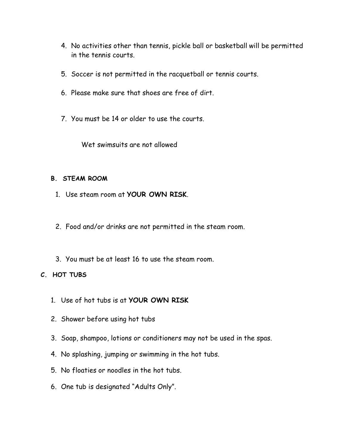- 4. No activities other than tennis, pickle ball or basketball will be permitted in the tennis courts.
- 5. Soccer is not permitted in the racquetball or tennis courts.
- 6. Please make sure that shoes are free of dirt.
- 7. You must be 14 or older to use the courts.

Wet swimsuits are not allowed

### B. STEAM ROOM

- 1. Use steam room at YOUR OWN RISK.
- 2. Food and/or drinks are not permitted in the steam room.
- 3. You must be at least 16 to use the steam room.

# C. HOT TUBS

- 1. Use of hot tubs is at YOUR OWN RISK
- 2. Shower before using hot tubs
- 3. Soap, shampoo, lotions or conditioners may not be used in the spas.
- 4. No splashing, jumping or swimming in the hot tubs.
- 5. No floaties or noodles in the hot tubs.
- 6. One tub is designated "Adults Only".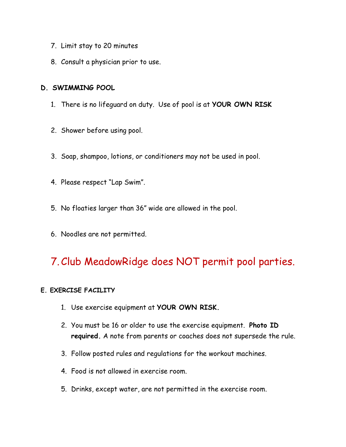- 7. Limit stay to 20 minutes
- 8. Consult a physician prior to use.

# D. SWIMMING POOL

- 1. There is no lifeguard on duty. Use of pool is at YOUR OWN RISK
- 2. Shower before using pool.
- 3. Soap, shampoo, lotions, or conditioners may not be used in pool.
- 4. Please respect "Lap Swim".
- 5. No floaties larger than 36" wide are allowed in the pool.
- 6. Noodles are not permitted.

# 7.Club MeadowRidge does NOT permit pool parties.

# E. EXERCISE FACILITY

- 1. Use exercise equipment at YOUR OWN RISK.
- 2. You must be 16 or older to use the exercise equipment. Photo ID required. A note from parents or coaches does not supersede the rule.
- 3. Follow posted rules and regulations for the workout machines.
- 4. Food is not allowed in exercise room.
- 5. Drinks, except water, are not permitted in the exercise room.